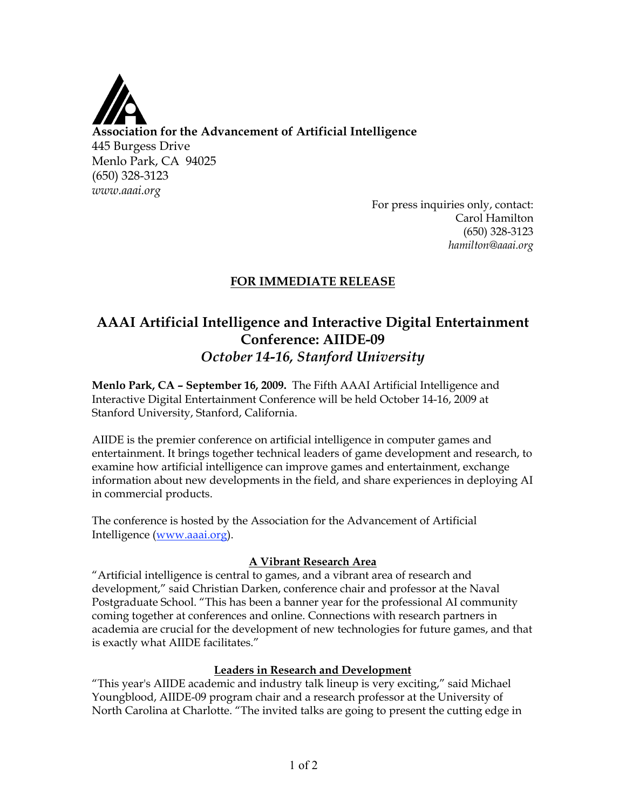

**Association for the Advancement of Artificial Intelligence** 445 Burgess Drive Menlo Park, CA 94025 (650) 328-3123 *www.aaai.org*

For press inquiries only, contact: Carol Hamilton (650) 328-3123 *hamilton@aaai.org*

## **FOR IMMEDIATE RELEASE**

# **AAAI Artificial Intelligence and Interactive Digital Entertainment Conference: AIIDE-09** *October 14-16, Stanford University*

**Menlo Park, CA – September 16, 2009.** The Fifth AAAI Artificial Intelligence and Interactive Digital Entertainment Conference will be held October 14-16, 2009 at Stanford University, Stanford, California.

AIIDE is the premier conference on artificial intelligence in computer games and entertainment. It brings together technical leaders of game development and research, to examine how artificial intelligence can improve games and entertainment, exchange information about new developments in the field, and share experiences in deploying AI in commercial products.

The conference is hosted by the Association for the Advancement of Artificial Intelligence (www.aaai.org).

### **A Vibrant Research Area**

"Artificial intelligence is central to games, and a vibrant area of research and development," said Christian Darken, conference chair and professor at the Naval Postgraduate School. "This has been a banner year for the professional AI community coming together at conferences and online. Connections with research partners in academia are crucial for the development of new technologies for future games, and that is exactly what AIIDE facilitates."

### **Leaders in Research and Development**

"This year's AIIDE academic and industry talk lineup is very exciting," said Michael Youngblood, AIIDE-09 program chair and a research professor at the University of North Carolina at Charlotte. "The invited talks are going to present the cutting edge in